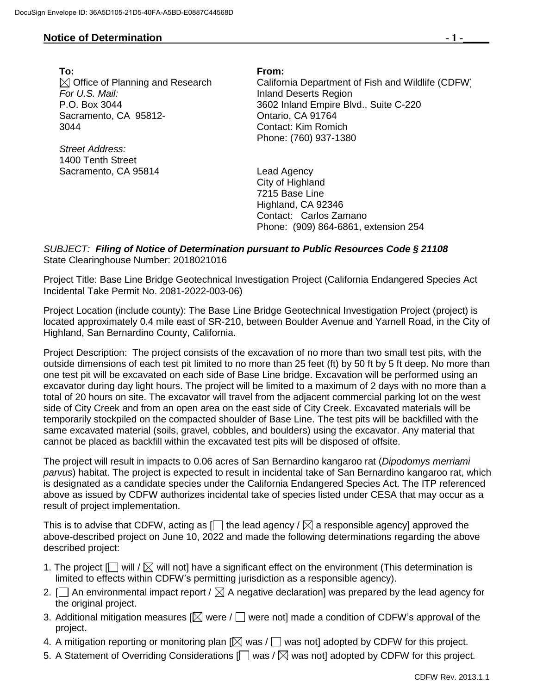## **Notice of Determination**  $\qquad \qquad$  **1 -**

**To: From: For U.S. Mail:** Inland Deserts Region Sacramento, CA 95812- 3044

*Street Address:* 1400 Tenth Street Sacramento, CA 95814 Lead Agency

 $\boxtimes$  Office of Planning and Research California Department of Fish and Wildlife (CDFW) P.O. Box 3044 3602 Inland Empire Blvd., Suite C-220 Ontario, CA 91764 Contact: Kim Romich Phone: (760) 937-1380

> City of Highland 7215 Base Line Highland, CA 92346 Contact: Carlos Zamano Phone: (909) 864-6861, extension 254

## *SUBJECT: Filing of Notice of Determination pursuant to Public Resources Code § 21108* State Clearinghouse Number: 2018021016

Project Title: Base Line Bridge Geotechnical Investigation Project (California Endangered Species Act Incidental Take Permit No. 2081-2022-003-06)

Project Location (include county): The Base Line Bridge Geotechnical Investigation Project (project) is located approximately 0.4 mile east of SR-210, between Boulder Avenue and Yarnell Road, in the City of Highland, San Bernardino County, California.

Project Description: The project consists of the excavation of no more than two small test pits, with the outside dimensions of each test pit limited to no more than 25 feet (ft) by 50 ft by 5 ft deep. No more than one test pit will be excavated on each side of Base Line bridge. Excavation will be performed using an excavator during day light hours. The project will be limited to a maximum of 2 days with no more than a total of 20 hours on site. The excavator will travel from the adjacent commercial parking lot on the west side of City Creek and from an open area on the east side of City Creek. Excavated materials will be temporarily stockpiled on the compacted shoulder of Base Line. The test pits will be backfilled with the same excavated material (soils, gravel, cobbles, and boulders) using the excavator. Any material that cannot be placed as backfill within the excavated test pits will be disposed of offsite.

The project will result in impacts to 0.06 acres of San Bernardino kangaroo rat (*Dipodomys merriami parvus*) habitat. The project is expected to result in incidental take of San Bernardino kangaroo rat, which is designated as a candidate species under the California Endangered Species Act. The ITP referenced above as issued by CDFW authorizes incidental take of species listed under CESA that may occur as a result of project implementation.

This is to advise that CDFW, acting as  $\Box$  the lead agency /  $\boxtimes$  a responsible agency] approved the above-described project on June 10, 2022 and made the following determinations regarding the above described project:

- 1. The project  $[\Box]$  will /  $[\Box]$  will not] have a significant effect on the environment (This determination is limited to effects within CDFW's permitting jurisdiction as a responsible agency).
- 2.  $\Box$  An environmental impact report /  $\boxtimes$  A negative declaration] was prepared by the lead agency for the original project.
- 3. Additional mitigation measures  $[$  were  $/$   $\Box$  were not] made a condition of CDFW's approval of the project.
- 4. A mitigation reporting or monitoring plan  $[\boxtimes]$  was  $/\Box$  was not] adopted by CDFW for this project.
- 5. A Statement of Overriding Considerations  $[\Box]$  was /  $[\Box]$  was not] adopted by CDFW for this project.